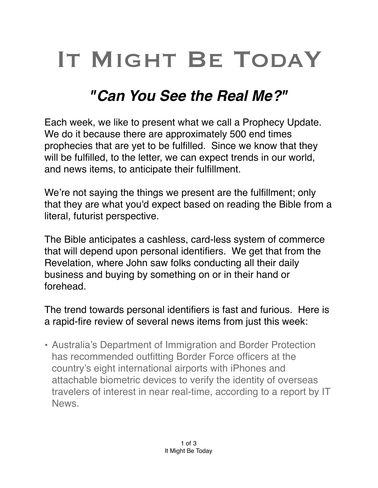## IT MIGHT BE TODAY

## *"Can You See the Real Me?"*

Each week, we like to present what we call a Prophecy Update. We do it because there are approximately 500 end times prophecies that are yet to be fulfilled. Since we know that they will be fulfilled, to the letter, we can expect trends in our world, and news items, to anticipate their fulfillment.

We're not saying the things we present are the fulfillment; only that they are what you'd expect based on reading the Bible from a literal, futurist perspective.

The Bible anticipates a cashless, card-less system of commerce that will depend upon personal identifiers. We get that from the Revelation, where John saw folks conducting all their daily business and buying by something on or in their hand or forehead.

The trend towards personal identifiers is fast and furious. Here is a rapid-fire review of several news items from just this week:

• Australia's Department of Immigration and Border Protection has recommended outfitting Border Force officers at the country's eight international airports with iPhones and attachable biometric devices to verify the identity of overseas travelers of interest in near real-time, according to a report by IT News.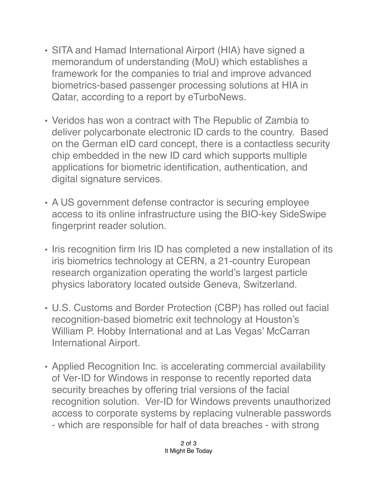- SITA and Hamad International Airport (HIA) have signed a memorandum of understanding (MoU) which establishes a framework for the companies to trial and improve advanced biometrics-based passenger processing solutions at HIA in Qatar, according to a report by eTurboNews.
- Veridos has won a contract with The Republic of Zambia to deliver polycarbonate electronic ID cards to the country. Based on the German eID card concept, there is a contactless security chip embedded in the new ID card which supports multiple applications for biometric identification, authentication, and digital signature services.
- A US government defense contractor is securing employee access to its online infrastructure using the BIO-key SideSwipe fingerprint reader solution.
- Iris recognition firm Iris ID has completed a new installation of its iris biometrics technology at CERN, a 21-country European research organization operating the world's largest particle physics laboratory located outside Geneva, Switzerland.
- U.S. Customs and Border Protection (CBP) has rolled out facial recognition-based biometric exit technology at Houston's William P. Hobby International and at Las Vegas' McCarran International Airport.
- Applied Recognition Inc. is accelerating commercial availability of Ver-ID for Windows in response to recently reported data security breaches by offering trial versions of the facial recognition solution. Ver-ID for Windows prevents unauthorized access to corporate systems by replacing vulnerable passwords - which are responsible for half of data breaches - with strong